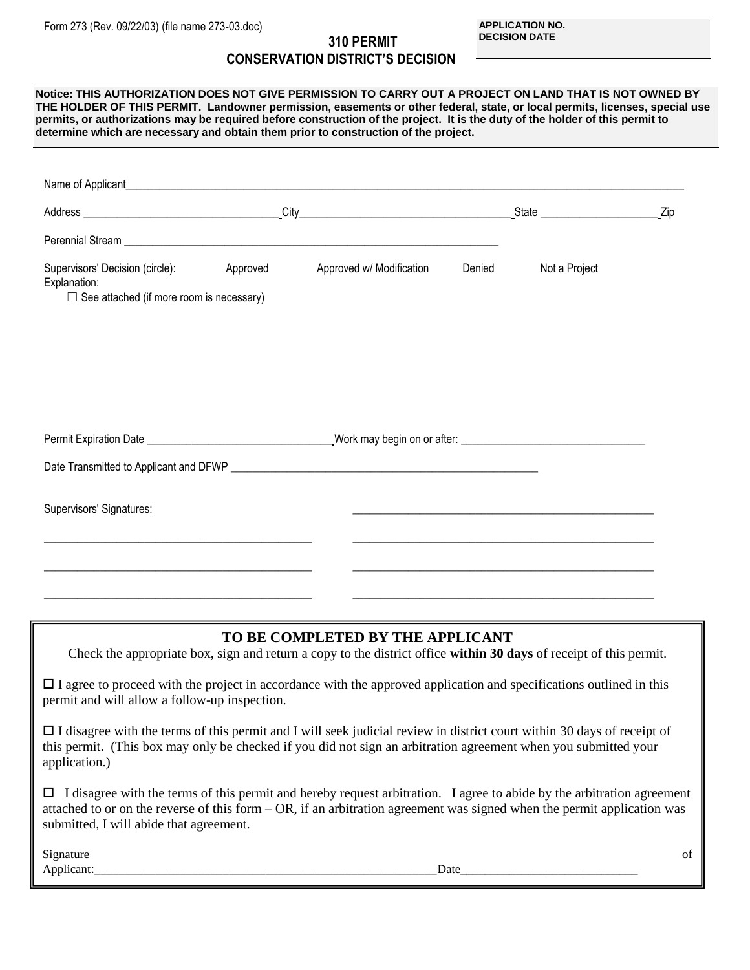## **310 PERMIT CONSERVATION DISTRICT'S DECISION**

## Name of Applicant Address \_\_\_\_\_\_\_\_\_\_\_\_\_\_\_\_\_\_\_\_\_\_\_\_\_\_\_\_\_\_\_\_\_\_\_ City\_\_\_\_\_\_\_\_\_\_\_\_\_\_\_\_\_\_\_\_\_\_\_\_\_\_\_\_\_\_\_\_\_\_\_\_\_\_ State \_\_\_\_\_\_\_\_\_\_\_\_\_\_\_\_\_\_\_\_\_ Zip Perennial Stream Supervisors' Decision (circle): Approved Approved Approved Approved Approved Approved Approved Approved Approved Approved Approved Approved Approved Approved Approved Approved Approved Approved Approved Approved Approved A Explanation:  $\Box$  See attached (if more room is necessary) Permit Expiration Date **Expiration Date Network in the Section Work may begin on or after:**  $\blacksquare$ Date Transmitted to Applicant and DFWP \_\_\_\_\_\_\_ Supervisors' Signatures: \_\_\_\_\_\_\_\_\_\_\_\_\_\_\_\_\_\_\_\_\_\_\_\_\_\_\_\_\_\_\_\_\_\_\_\_\_\_\_\_\_\_\_\_\_\_\_\_ \_\_\_\_\_\_\_\_\_\_\_\_\_\_\_\_\_\_\_\_\_\_\_\_\_\_\_\_\_\_\_\_\_\_\_\_\_\_\_\_\_\_\_\_\_\_\_\_\_\_\_\_\_\_ \_\_\_\_\_\_\_\_\_\_\_\_\_\_\_\_\_\_\_\_\_\_\_\_\_\_\_\_\_\_\_\_\_\_\_\_\_\_\_\_\_\_\_\_\_\_\_\_ \_\_\_\_\_\_\_\_\_\_\_\_\_\_\_\_\_\_\_\_\_\_\_\_\_\_\_\_\_\_\_\_\_\_\_\_\_\_\_\_\_\_\_\_\_\_\_\_\_\_\_\_\_\_ **Notice: THIS AUTHORIZATION DOES NOT GIVE PERMISSION TO CARRY OUT A PROJECT ON LAND THAT IS NOT OWNED BY THE HOLDER OF THIS PERMIT. Landowner permission, easements or other federal, state, or local permits, licenses, special use permits, or authorizations may be required before construction of the project. It is the duty of the holder of this permit to determine which are necessary and obtain them prior to construction of the project.**

## **TO BE COMPLETED BY THE APPLICANT**

Check the appropriate box, sign and return a copy to the district office **within 30 days** of receipt of this permit.

 $\Box$  I agree to proceed with the project in accordance with the approved application and specifications outlined in this permit and will allow a follow-up inspection.

\_\_\_\_\_\_\_\_\_\_\_\_\_\_\_\_\_\_\_\_\_\_\_\_\_\_\_\_\_\_\_\_\_\_\_\_\_\_\_\_\_\_\_\_\_\_\_\_ \_\_\_\_\_\_\_\_\_\_\_\_\_\_\_\_\_\_\_\_\_\_\_\_\_\_\_\_\_\_\_\_\_\_\_\_\_\_\_\_\_\_\_\_\_\_\_\_\_\_\_\_\_\_

 I disagree with the terms of this permit and I will seek judicial review in district court within 30 days of receipt of this permit. (This box may only be checked if you did not sign an arbitration agreement when you submitted your application.)

 $\Box$  I disagree with the terms of this permit and hereby request arbitration. I agree to abide by the arbitration agreement attached to or on the reverse of this form – OR, if an arbitration agreement was signed when the permit application was submitted, I will abide that agreement.

Signature of the state of the state of the state of the state of the state of the state of the state of the state of the state of the state of the state of the state of the state of the state of the state of the state of t Applicant: Date